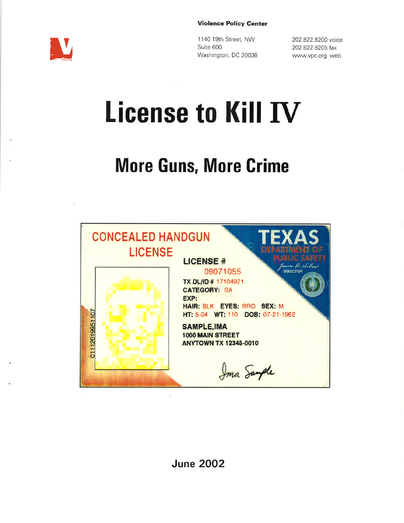#### Violence Policy Genter



<sup>1</sup>140 1gth Street, NW Suite 600 Washington, DC 20036

202.822.8200 voice 202.822.8205 fax www.vpc.org web

# License to Kill IV

# **More Guns, More Crime**



June 2OO2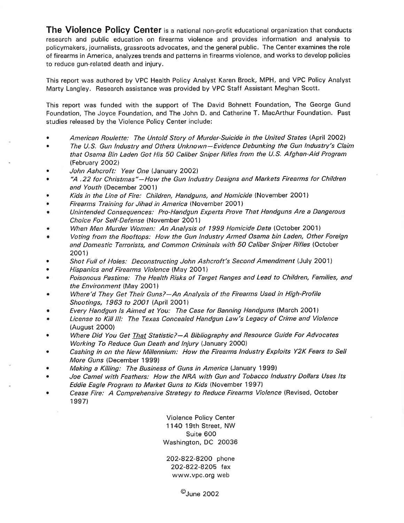The Violence Policy Center is a national non-profit educational organization that conducts research and public education on firearms violence and provides information and analysis to policymakers, journalists, grassroots advocates, and the general public. The Center examines the role of firearms in America, analyzes trends and patterns in firearms violence, and works to develop policies to reduce gun-related death and injury.

This report was authored by VPC Health Policy Analyst Karen Brock, MPH, and VPC Policy Analyst Marty Langley. Research assistance was provided by VPC Staff Assistant Meghan Scott.

This report was funded with the support of The David Bohnett Foundation, The George Gund Foundation, The Joyce Foundation, and The John D. and Catherine T. MacArthur Foundation. Past studies released by the Violence Policy Center include:

- O American Roulette: The Untold Story of Murder-Suicide in the United States (April 2002)
- a The U.S. Gun lndustry and Others Unknown-Evidence Debunking the Gun lndustry's Claim that Osama Bin Laden Got His 5O Caliber Sniper Rifles from the U.S. Afghan-Aid Program (February 2OO2)
- John Ashcroft: Year One (January 2002) a
- "A.22 for Christmas"-How the Gun lndustry Designs and Markets Firearms for Children and Youth (December 2001) a
- Kids in the Line of Fire: Children, Handguns, and Homicide (November 2001) a
- Firearms Training for Jihad in America (November 2001) a
- Unintended Consequences: Pro-Handgun Experts Prove That Handguns Are a Dangerous Choice For Self-Defense (November 2001) a
- When Men Murder Women: An Analysis of 1999 Homicide Data (October 2001) a
- Voting from the Rooftops: How the Gun lndustry Armed Osama bin Laden, Other Foreign and Domestic Terrorists, and Common Criminals with 5O Caliber Sniper Bffles (October 2001 ) a
- Shot Full of Holes: Deconstructing John Ashcroft's Second Amendmenr (July 2001) a
- Hispanics and Firearms Violence (May 2OO1) a
- Poisonous Pastime: The Health Risks of Target Ranges and Lead to Children, Families, and the Environment (May 2001) a
- Where'd They Get Their Guns?-An Analysis of the Firearms Used in High-Profile Shootings, 1963 to 2001 (April 2001) a
- Every Handgun ls Aimed at You: The Case for Banning Handguns (March 2001) a
- License to Kill lll: The Texas Concealed Handgun Law's Legacy of Crime and Violence (August 2000) a
- Where Did You Get That Statistic?-A Bibliography and Resource Guide For Advocates Working To Reduce Gun Death and lnjury (January 2000) a
- Cashing in on the New Millennium: How the Firearms lndustry Exploits Y2K Fears to Sell More Guns (December 1999) a
- Making a Killing: The Business of Guns in America (January 1999) a
- Joe Camel with Feathers: How the NRA with Gun and Tobacco Industry Dollars Uses Its Eddie Eagle Program to Market Guns to Kids (November 1997) a
- Cease Fire: A Comprehensive Strategy to Reduce Firearms Violence (Revised, October <sup>1</sup>997) a

Violence Policy Center 1140 19th Street, NW Suite 600 Washington, DC 20036

202-822-8200 phone 202-822-8205 fax www.vpc.org web

@June 2oO2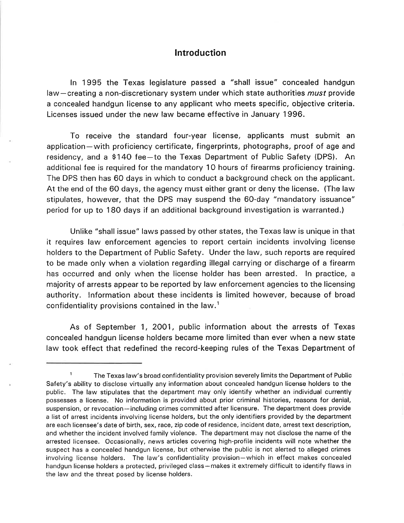#### **Introduction**

ln 1995 the Texas legislature passed a "shall issue" concealed handgun law-creating a non-discretionary system under which state authorities *must* provide a concealed handgun license to any applicant who meets specific, objective criteria. Licenses issued under the new law became effective in January 1996.

To receive the standard four-year license, applicants must submit an application-with proficiency certificate, fingerprints, photographs, proof of age and residency, and a \$140 fee-to the Texas Department of Public Safety (DPS). An additional fee is required for the mandatory 10 hours of firearms proficiency training. The DPS then has 60 days in which to conduct a background check on the applicant. At the end of the 60 days, the agency must either grant or deny the license. (The law stipulates, however, that the DPS may suspend the 60-day "mandatory issuance" period for up to 180 days if an additional background investigation is warranted.)

Unlike "shall issue" laws passed by other states, the Texas law is unique in that it requires law enforcement agencies to report certain incidents involving license holders to the Department of Public Safety. Under the law, such reports are required to be made only when a violation regarding illegal carrying or discharge of a firearm has occurred and only when the license holder has been arrested. ln practice, <sup>a</sup> majority of arrests appear to be reported by law enforcement agencies to the licensing authority. lnformation about these incidents is limited however, because of broad confidentiality provisions contained in the law.<sup>1</sup>

As of September 1, 2OO1, public information about the arrests of Texas concealed handgun license holders became more limited than ever when a new state law took effect that redefined the record-keeping rules of the Texas Department of

<sup>1</sup> The Texas law's broad confidentiality provision severely limits the Department of Public Safety's ability to disclose virtually any information about concealed handgun license holders to the public. The law stipulates that the department may only identify whether an individual currently possesses a license. No information is provided about prior criminal histories, reasons for denial, suspension, or revocation-including crimes committed after licensure. The department does provide a list of arrest incidents involving license holders, but the only identifiers provided by the department are each licensee's date of birth, sex, race, zip code of residence, incident date, arrest text description, and whether the incident involved family violence. The department may not disclose the name of the arrested licensee. Occasionally, news articles covering high-profile incidents will note whether the suspect has a concealed handgun license, but otherwise the public is not alerted to alleged crimes involving license holders. The law's confidentiality provision-which in effect makes concealed handgun license holders a protected, privileged class-makes it extremely difficult to identify flaws in the law and the threat posed by license holders.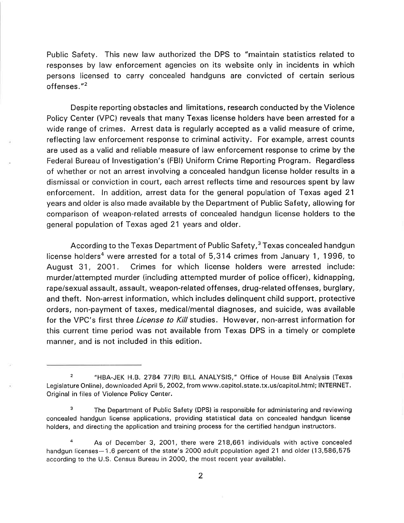Public Safety. This new law authorized the DPS to "maintain statistics related to responses by law enforcement agencies on its website only in incidents in which persons licensed to carry concealed handguns are convicted of certain serious offenses. "2

Despite reporting obstacles and limitations, research conducted by the Violence Policy Center (VPC) reveals that many Texas license holders have been arrested for <sup>a</sup> wide range of crimes. Arrest data is regularly accepted as a valid measure of crime, reflecting law enforcement response to criminal activity. For example, arrest counts are used as a valid and reliable measure of law enforcement response to crime by the Federal Bureau of lnvestigation's (FBl) Uniform Crime Reporting Program. Regardless of whether or not an arrest involving a concealed handgun license holder results in <sup>a</sup> dismissal or conviction in court, each arrest reflects time and resources spent by law enforcement. ln addition, arrest data for the general population of Texas aged 21 years and older is also made available by the Department of Public Safety, allowing for comparison of weapon-related arrests of concealed handgun license holders to the general population of Texas aged 21 years and older.

According to the Texas Department of Public Safety,<sup>3</sup> Texas concealed handgun license holders<sup>4</sup> were arrested for a total of  $5,314$  crimes from January 1, 1996, to August 31, 2OO1. Crimes for which license holders were arrested include: murder/attempted murder (including attempted murder of police officer), kidnapping, rape/sexual assault, assault, weapon-related offenses, drug-related offenses, burglary, and theft. Non-arrest information, which includes delinquent child support, protective orders, non-payment of taxes, medical/mental diagnoses, and suicide, was available for the VPC's first three *License to Kill* studies. However, non-arrest information for this current time period was not available from Texas DPS in a timely or complete manner, and is not included in this edition.

<sup>2</sup> "HBA-JEK H.B. 2784 77(R) BILL ANALYSIS," Office of House Bill Analysis (Texas Legislature Online), downloaded April 5, 2OO2, from www.capitol.state.tx.us/capitol.html; INTERNET. Original in files of Violence Policy Center.

<sup>&</sup>lt;sup>3</sup> The Department of Public Safety (DPS) is responsible for administering and reviewing concealed handgun license applications, providing statistical data on concealed handgun license holders, and directing the application and training process for the certified handgun instructors.

As of December 3, 2001, there were 218,661 individuals with active concealed handgun licenses-1.6 percent of the state's 2000 adult population aged 21 and older (13,586,575 according to the U.S. Census Bureau in 2000, the most recent year available).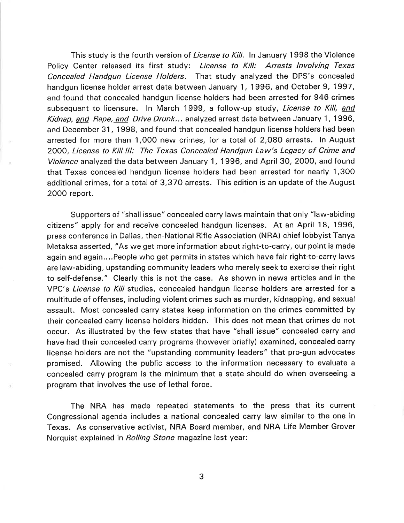This study is the fourth version of *License to Kill.* In January 1998 the Violence Policy Center released its first study: License to Kill: Arrests Involving Texas Concealed Handgun License Holders. That study analyzed the DPS's concealed handgun license holder arrest data between January 1, 1996, and October 9, 1997, and found that concealed handgun license holders had been arrested for 946 crimes subsequent to licensure. In March 1999, a follow-up study, License to Kill, and Kidnap, and Rape, and Drive Drunk... analyzed arrest data between January 1, 1996, and December 31, 1998, and found that concealed handgun license holders had been arrested for more than 1,00O new crimes, for a total of 2,O8O arrests. ln August 2000, License to Kill lll: The Texas Concealed Handgun Law's Legacy of Crime and Violence analyzed the data between January 1, 1996, and April 30, 2000, and found that Texas concealed handgun license holders had been arrested for nearly 1,300 additional crimes, for a total of 3,370 arrests. This edition is an update of the August 2000 report.

Supporters of "shall issue" concealed carry laws maintain that only "law-abiding citizens" apply for and receive concealed handgun licenses. At an April 18, 1996, press conference in Dallas, then-National Rifle Association (NRA) chief lobbyist Tanya Metaksa asserted, "As we get more information about right-to-carry, our point is made again and again,,..People who get permits in states which have fair right-to-carry laws are law-abiding, upstanding community leaders who merely seek to exercise their right to self-defense." Clearly this is not the case. As shown in news articles and in the VPC's *License to Kill* studies, concealed handgun license holders are arrested for a multitude of offenses, including violent crimes such as murder, kidnapping, and sexual assault. Most concealed carry states keep information on the crimes committed by their concealed carry license holders hidden. This does not mean that crimes do not occur. As illustrated by the few states that have "shall issue" concealed carry and have had their concealed carry programs (however briefly) examined, concealed carry license holders are not the "upstanding community leaders" that pro-gun advocates promised. Allowing the public access to the information necessary to evaluate <sup>a</sup> concealed carry program is the minimum that a state should do when overseeing <sup>a</sup> program that involves the use of lethal force.

The NRA has made repeated statements to the press that its current Congressional agenda includes a national concealed carry law similar to the one in Texas. As conservative activist, NRA Board member, and NRA Life Member Grover Norquist explained in Rolling Stone magazine last year: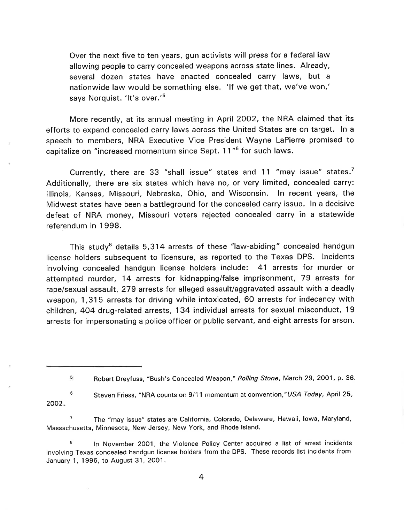Over the next five to ten years, gun activists will press for a federal law allowing people to carry concealed weapons across state lines. Already, several dozen states have enacted concealed carry laws, but <sup>a</sup> nationwide law would be something else. 'lf we get that, we've won,' says Norquist. 'It's over.'<sup>5</sup>

More recently, at its annual meeting in April 2OO2, the NRA claimed that its efforts to expand concealed carry laws across the United States are on target. ln <sup>a</sup> speech to members, NRA Executive Vice President Wayne LaPierre promised to capitalize on "increased momentum since Sept. 11"<sup>6</sup> for such laws.

Currently, there are 33 "shall issue" states and 11 "may issue" states.<sup>7</sup> Additionally, there are six states which have no, or very limited, concealed carry: lllinois, Kansas, Missouri, Nebraska, Ohio, and Wisconsin. ln recent years, the Midwest states have been a battleground for the concealed carry issue. ln a decisive defeat of NRA money, Missouri voters rejected concealed carry in a statewide referendum in 1998.

This study<sup>8</sup> details 5,314 arrests of these "law-abiding" concealed handgun license holders subsequent to licensure, as reported to the Texas DPS. lncidents involving concealed handgun license holders include: 41 arrests for murder or attempted murder, 14 arrests for kidnapping/false imprisonment, 79 arrests for rape/sexual assault, 279 arrests for alleged assault/aggravated assault with a deadly weapon, 1,315 arrests for driving while intoxicated, 60 arrests for indecency with children, 4O4 drug-related arrests, 134 individual arrests for sexual misconduct, 19 arrests for impersonating a police officer or public servant, and eight arrests for arson.

 $7$  The "may issue" states are California, Colorado, Delaware, Hawaii, Iowa, Maryland, Massachusetts, Minnesota, New Jersey, New York, and Rhode lsland.

In November 2001, the Violence Policy Center acquired a list of arrest incidents involving Texas concealed handgun license holders from the DPS. These records list incidents from January 1, 1996, to August 31, 2001.

<sup>5</sup> Robert Dreyfuss, "Bush's Concealed Weapon," Rolling Stone, March 29,2OO1, p. 36.

Steven Friess, "NRA counts on 9/11 momentum at convention,"USA Today, April 25, 2002 6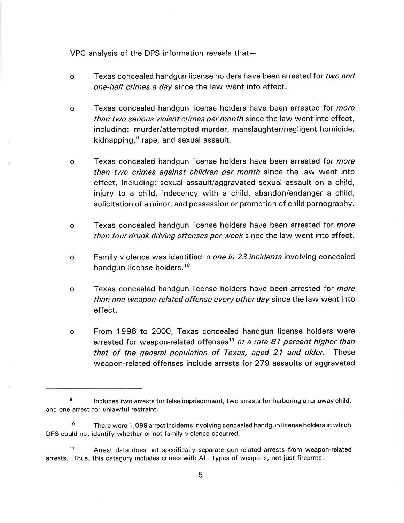VPC analysis of the DPS information reveals that $-$ 

- Texas concealed handgun license holders have been arrested for two and one-half crimes a day since the law went into effect. o
- Texas concealed handgun license holders have been arrested for more than two serious violent crimes per month since the law went into effect, including: murder/attempted murder, manslaughter/negligent homicide, kidnapping, $<sup>9</sup>$  rape, and sexual assault.</sup> o
- Texas concealed handgun license holders have been arrested for *more* than two crimes against children per month since the law went into effect, including: sexual assault/aggravated sexual assault on a child, injury to a child, indecency with a child, abandon/endanger a child, solicitation of a minor, and possession or promotion of child pornography. o
- o Texas concealed handgun license holders have been arrested for *more* than four drunk driving offenses per week since the law went into effect.
- o Family violence was identified in *one in 23 incidents* involving concealed handgun license holders.<sup>10</sup>
- o Texas concealed handgun license holders have been arrested for *more* than one weapon-related offense every other day since the law went into effect.
- From 1996 to 2000, Texas concealed handgun license holders were arrested for weapon-related offenses<sup>11</sup> at a rate 81 percent higher than that of the general population of Texas, aged 2l and older. These weapon-related offenses include arrests for 279 assaults or aggravated o

 $\theta$  lncludes two arrests for false imprisonment, two arrests for harboring a runaway child, and one arrest for unlawful restraint,

<sup>&</sup>lt;sup>10</sup> There were 1,099 arrest incidents involving concealed handgun license holders in which DPS could not identify whether or not family violence occurred.

<sup>&</sup>lt;sup>11</sup> Arrest data does not specifically separate gun-related arrests from weapon-related arrests. Thus, this category includes crimes with ALL types of weapons, not just firearms.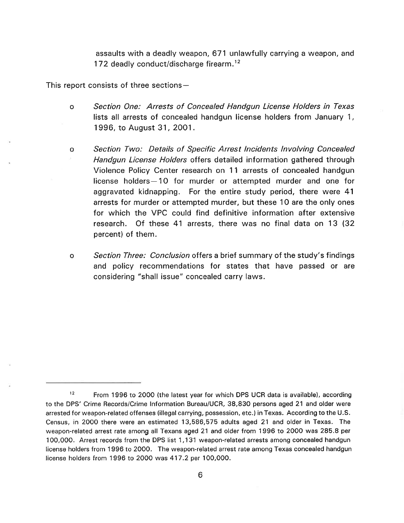assaults with a deadly weapon, 671 unlawfully carrying a weapon, and 172 deadly conduct/discharge firearm.<sup>12</sup>

This report consists of three sections $-$ 

- Section One: Arrests of Concealed Handgun License Holders in Texas lists all arrests of concealed handgun license holders from January 1, 1996, to August 31 , 2OO1. o
- o Section Two: Details of Specific Arrest lncidents lnvolving Concealed Handgun License Holders offers detailed information gathered through Violence Policy Center research on 11 arrests of concealed handgun license holders-10 for murder or attempted murder and one for aggravated kidnapping. For the entire study period, there were 41 arrests for murder or attempted murder, but these 10 are the only ones for which the VPC could find definitive information after extensive research. Of these 41 arrests, there was no final data on 13 {'32 percent) of them.
- o Section Three: Conclusion offers a brief summary of the study's findings and policy recommendations for states that have passed or are considering "shall issue" concealed carry laws.

<sup>&</sup>lt;sup>12</sup> From 1996 to 2000 (the latest year for which DPS UCR data is available), according to the DPS' Crime Records/Crime Information Bureau/UCR, 38,830 persons aged 21 and older were arrested for weapon-related offenses (illegal carrying, possession, etc.) in Texas. According to the U.S. Census, in 2000 there were an estimated 13,586,575 adults aged 21 and older in Texas. The weapon-related arrest rate among all Texans aged 21 and older from 1996 to 20O0 was 285.8 per 100,000. Arrest records from the DPS list 1,131 weapon-related arrests among concealed handgun license holders from 1996 to 2000. The weapon-related arrest rate among Texas concealed handgun license holders from 1996 to 2000 was 417.2 per 100,000.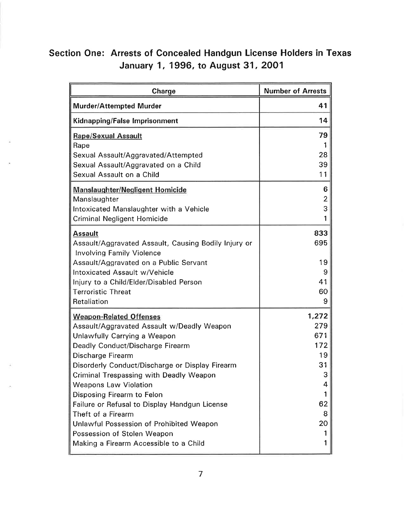## Section One: Arrests of Concealed Handgun License Holders in Texas January 1, 1996, to August 31,2OO1

| Charge                                                                                   | <b>Number of Arrests</b> |
|------------------------------------------------------------------------------------------|--------------------------|
| <b>Murder/Attempted Murder</b>                                                           | 41                       |
| Kidnapping/False Imprisonment                                                            | 14                       |
| <b>Rape/Sexual Assault</b>                                                               | 79                       |
| Rape                                                                                     |                          |
| Sexual Assault/Aggravated/Attempted                                                      | 28<br>39                 |
| Sexual Assault/Aggravated on a Child<br>Sexual Assault on a Child                        | 11                       |
| <b>Manslaughter/Negligent Homicide</b>                                                   | 6                        |
| Manslaughter                                                                             | 2                        |
| Intoxicated Manslaughter with a Vehicle                                                  | 3                        |
| <b>Criminal Negligent Homicide</b>                                                       |                          |
| Assault                                                                                  | 833                      |
| Assault/Aggravated Assault, Causing Bodily Injury or<br><b>Involving Family Violence</b> | 695                      |
| Assault/Aggravated on a Public Servant                                                   | 19                       |
| Intoxicated Assault w/Vehicle                                                            | 9                        |
| Injury to a Child/Elder/Disabled Person                                                  | 41                       |
| <b>Terroristic Threat</b>                                                                | 60                       |
| Retaliation                                                                              | 9                        |
| <b>Weapon-Related Offenses</b>                                                           | 1,272                    |
| Assault/Aggravated Assault w/Deadly Weapon                                               | 279                      |
| Unlawfully Carrying a Weapon                                                             | 671                      |
| Deadly Conduct/Discharge Firearm                                                         | 172<br>19                |
| Discharge Firearm<br>Disorderly Conduct/Discharge or Display Firearm                     | 31                       |
| Criminal Trespassing with Deadly Weapon                                                  | 3                        |
| <b>Weapons Law Violation</b>                                                             | 4                        |
| Disposing Firearm to Felon                                                               |                          |
| Failure or Refusal to Display Handgun License                                            | 62                       |
| Theft of a Firearm                                                                       | 8                        |
| Unlawful Possession of Prohibited Weapon                                                 | 20                       |
| Possession of Stolen Weapon                                                              |                          |
| Making a Firearm Accessible to a Child                                                   |                          |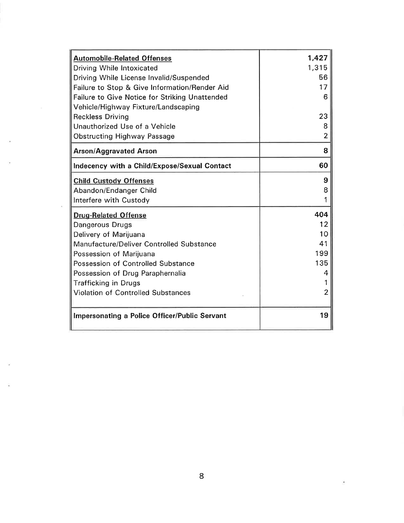| <b>Automobile-Related Offenses</b>                   | 1,427          |
|------------------------------------------------------|----------------|
| Driving While Intoxicated                            | 1,315          |
| Driving While License Invalid/Suspended              | 56             |
| Failure to Stop & Give Information/Render Aid        | 17             |
| Failure to Give Notice for Striking Unattended       | 6              |
| Vehicle/Highway Fixture/Landscaping                  |                |
| <b>Reckless Driving</b>                              | 23             |
| Unauthorized Use of a Vehicle                        | 8              |
| <b>Obstructing Highway Passage</b>                   | $\overline{2}$ |
| <b>Arson/Aggravated Arson</b>                        | 8              |
| Indecency with a Child/Expose/Sexual Contact         | 60             |
| <b>Child Custody Offenses</b>                        | 9              |
| Abandon/Endanger Child                               | 8              |
| Interfere with Custody                               |                |
| <b>Drug-Related Offense</b>                          | 404            |
| Dangerous Drugs                                      | 12             |
| Delivery of Marijuana                                | 10             |
| Manufacture/Deliver Controlled Substance             | 41             |
| Possession of Marijuana                              | 199            |
| Possession of Controlled Substance                   | 135            |
| Possession of Drug Paraphernalia                     | 4              |
| <b>Trafficking in Drugs</b>                          |                |
| <b>Violation of Controlled Substances</b>            | 2              |
| <b>Impersonating a Police Officer/Public Servant</b> | 19             |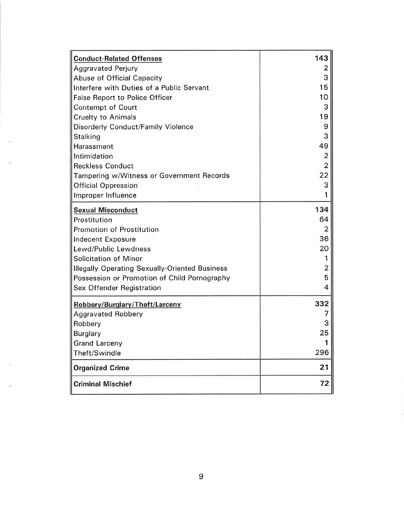| <b>Conduct-Related Offenses</b>                       | 143            |
|-------------------------------------------------------|----------------|
| <b>Aggravated Perjury</b>                             | 2              |
| Abuse of Official Capacity                            | 3              |
| Interfere with Duties of a Public Servant             | 15             |
| <b>False Report to Police Officer</b>                 | 10             |
| <b>Contempt of Court</b>                              | 3              |
| <b>Cruelty to Animals</b>                             | 19             |
| <b>Disorderly Conduct/Family Violence</b>             | 9              |
| Stalking                                              | 3              |
| Harassment                                            | 49             |
| Intimidation                                          | $\overline{2}$ |
| <b>Reckless Conduct</b>                               | $\overline{2}$ |
| Tampering w/Witness or Government Records             | 22             |
| <b>Official Oppression</b>                            | 3              |
| Improper Influence                                    |                |
| <b>Sexual Misconduct</b>                              | 134            |
| Prostitution                                          | 64             |
| Promotion of Prostitution                             | 2              |
| Indecent Exposure                                     | 36             |
| Lewd/Public Lewdness                                  | 20             |
| Solicitation of Minor                                 |                |
| <b>Illegally Operating Sexually-Oriented Business</b> | 2              |
| Possession or Promotion of Child Pornography          | 5              |
| <b>Sex Offender Registration</b>                      | 4              |
| Robbery/Burglary/Theft/Larceny                        | 332            |
| <b>Aggravated Robbery</b>                             | 7              |
| Robbery                                               | 3              |
| Burglary                                              | 25             |
| <b>Grand Larceny</b>                                  |                |
| Theft/Swindle                                         | 296            |
| <b>Organized Crime</b>                                | 21             |
| <b>Criminal Mischief</b>                              | 72             |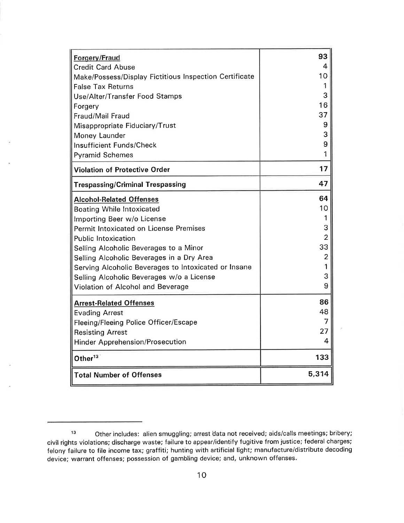| Forgery/Fraud                                          | 93             |
|--------------------------------------------------------|----------------|
| <b>Credit Card Abuse</b>                               | 4              |
| Make/Possess/Display Fictitious Inspection Certificate | 10             |
| <b>False Tax Returns</b>                               | 1              |
| Use/Alter/Transfer Food Stamps                         | 3              |
| Forgery                                                | 16             |
| Fraud/Mail Fraud                                       | 37             |
| Misappropriate Fiduciary/Trust                         | 9              |
| Money Launder                                          | 3              |
| <b>Insufficient Funds/Check</b>                        | 9              |
| <b>Pyramid Schemes</b>                                 | 1              |
| <b>Violation of Protective Order</b>                   | 17             |
| <b>Trespassing/Criminal Trespassing</b>                | 47             |
| <b>Alcohol-Related Offenses</b>                        | 64             |
| <b>Boating While Intoxicated</b>                       | 10             |
| Importing Beer w/o License                             |                |
| Permit Intoxicated on License Premises                 | 3              |
| <b>Public Intoxication</b>                             | 2              |
| Selling Alcoholic Beverages to a Minor                 | 33             |
| Selling Alcoholic Beverages in a Dry Area              | $\overline{2}$ |
| Serving Alcoholic Beverages to Intoxicated or Insane   |                |
| Selling Alcoholic Beverages w/o a License              | 3              |
| Violation of Alcohol and Beverage                      | 9              |
| <b>Arrest-Related Offenses</b>                         | 86             |
| <b>Evading Arrest</b>                                  | 48             |
| Fleeing/Fleeing Police Officer/Escape                  | 7              |
| <b>Resisting Arrest</b>                                | 27             |
| <b>Hinder Apprehension/Prosecution</b>                 | 4              |
| Other <sup>13</sup>                                    | 133            |
| <b>Total Number of Offenses</b>                        | 5,314          |

<sup>13</sup> Other includes: alien smuggling; arrest data not received; aids/calls meetings; bribery; civil rights violations; discharge waste; failure to appear/identify f ugitive from justice; federal charges; felony failure to file income tax; graffiti; hunting with artificial light; manufacture/distribute decoding device; warrant offenses; possession of gambling device; and, unknown offenses.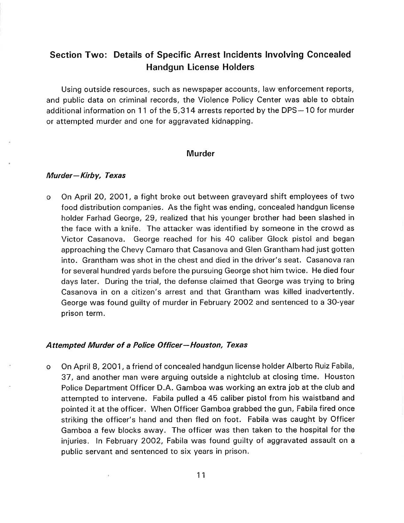### Section Two: Details of Specific Arrest lncidents lnvolving Concealed Handgun License Holders

Using outside resources, such as newspaper accounts, law'enforcement reports, and public data on criminal records, the Violence Policy Center was able to obtain additional information on 11 of the 5,314 arrests reported by the DPS-10 for murder or attempted murder and one for aggravated kidnapping.

#### **Murder**

#### Murder-Kirby, Texas

o On April 20,2OO1, a fight broke out between graveyard shift employees of two food distribution companies. As the fight was ending, concealed handgun license holder Farhad George, 29, realized that his younger brother had been slashed in the face with a knife. The attacker was identified by someone in the crowd as Victor Casanova. George reached for his 40 caliber Glock pistol and began approaching the Chevy Camaro that Casanova and Glen Grantham had just gotten into. Grantham was shot in the chest and died in the driver's seat. Casanova ran for several hundred yards before the pursuing George shot him twice. He died four days later. During the trial, the defense claimed that George was trying to bring Casanova in on a citizen's arrest and that Grantham was killed inadvertently. George was found guilty of murder in February 2OO2 and sentenced to a 3O-year prison term.

#### Attempted Murder of a Police Officer-Houston, Texas

On April 8,2OO1, a friend of concealed handgun license holder Alberto Ruiz Fabila, 37, and another man were arguing outside a nightclub at closing time. Houston Police Department Officer D.A. Gamboa was working an extra job at the club and attempted to intervene. Fabila pulled a 45 caliber pistol from his waistband and pointed it at the officer. When Officer Gamboa grabbed the gun, Fabila fired once striking the officer's hand and then fled on foot. Fabila was caught by Officer Gamboa a few blocks away. The officer was then taken to the hospital for the injuries. ln February 2OO2, Fabila was found guilty of aggravated assault on <sup>a</sup> public servant and sentenced to six years in prison. o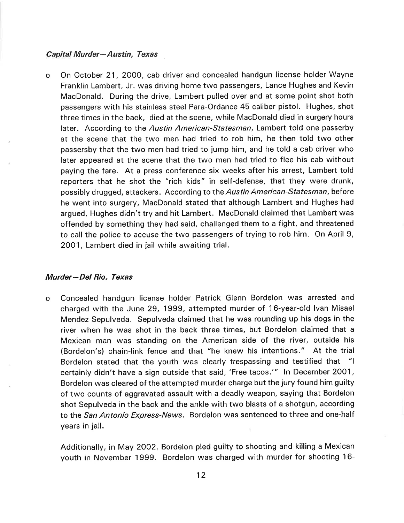#### Capital Murder-Austin, Texas

o On October 21 , 2OOO, cab driver and concealed handgun license holder Wayne Franklin Lambert, Jr. was driving home two passengers, Lance Hughes and Kevin MacDonald. During the drive, Lambert pulled over and at some point shot both passengers with his stainless steel Para-Ordance 45 caliber pistol. Hughes, shot three times in the back, died at the scene, while MacDonald died in surgery hours later. According to the *Austin American-Statesman*, Lambert told one passerby at the scene that the two men had tried to rob him, he then told two other passersby that the two men had tried to jump him, and he told a cab driver who later appeared at the scene that the two men had tried to flee his cab without paying the fare. At a press conference six weeks after his arrest, Lambert told reporters that he shot the "rich kids" in self-defense, that they were drunk, possibly drugged, attackers. According to the Austin American-Statesman, before he went into surgery, MacDonald stated that although Lambert and Hughes had argued, Hughes didn't try and hit Lambert. MacDonald claimed that Lambert was offended by something they had said, challenged them to a fight, and threatened to call the police to accuse the two passengers of trying to rob him. On April 9, 2OO1, Lambert died in jail while awaiting trial.

#### Murder-Del Rio, Texas

Concealed handgun license holder Patrick Glenn Bordelon was arrested and charged with the June 29, 1999, attempted murder of 16-year-old lvan Misael Mendez Sepulveda. Sepulveda claimed that he was rounding up his dogs in the river when he was shot in the back three times, but Bordelon claimed that <sup>a</sup> Mexican man was standing on the American side of the river, outside his (Bordelon's) chain-link fence and that "he knew his intentions." At the trial Bordelon stated that the youth was clearly trespassing and testified that "I certainly didn't have a sign outside that said, 'Free tacos."' ln December 2001, Bordelon was cleared of the attempted murder charge but the jury found him guilty of two counts of aggravated assault with a deadly weapon, saying that Bordelon shot Sepulveda in the back and the ankle with two blasts of a shotgun, according to the San Antonio Express-News. Bordelon was sentenced to three and one-half years in jail. o

Additionally, in May 2OO2, Bordelon pled guilty to shooting and killing a Mexican youth in November 1999. Bordelon was charged with murder for shooting 16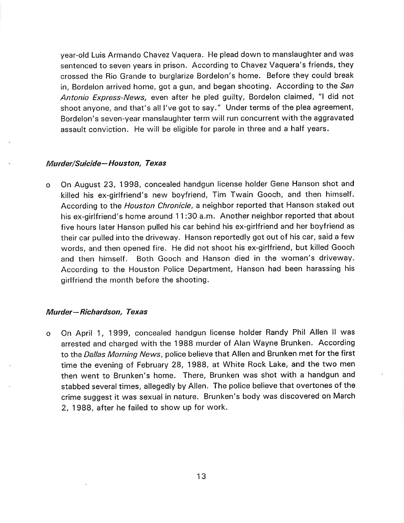year-old Luis Armando Chavez Vaquera. He plead down to manslaughter and was sentenced to seven years in prison. According to Chavez Vaquera's friends, they crossed the Rio Grande to burglarize Bordelon's home. Before they could break in, Bordelon arrived home, got a gun, and began shooting. According to the San Antonio Express-News, even after he pled guilty, Bordelon claimed, "I did not shoot anyone, and that's all l've got to Say." Under terms of the plea agreement, Bordelon's seven-year manslaughter term will run concurrent with the aggravated assault conviction. He will be eligible for parole in three and a half years.

#### Murder/Suicide-Houston, Texas

o On August 23, 1998, concealed handgun license holder Gene Hanson shot and killed his ex-girlfriend's new boyfriend, Tim Twain Gooch, and then himself. According to the *Houston Chronicle*, a neighbor reported that Hanson staked out his ex-girlfriend's home around 11:30 a.m. Another neighbor reported that about five hours later Hanson pulled his car behind his ex-girlfriend and her boyfriend as their car pulled into the driveway. Hanson reportedly got out of his car, said a few words, and then opened fire. He did not shoot his ex-girlfriend, but killed Gooch and then himself. Both Gooch and Hanson died in the woman's driveway. According to the Houston Police Department, Hanson had been harassing his girlfriend the month before the shooting.

#### Murder-Richardson, Texas

On April 1, 1999, concealed handgun license holder Randy Phil Allen II was arrested and charged with the 1988 murder of Alan Wayne Brunken. According to the Dallas Morning News, police believe that Allen and Brunken met for the first time the evening of February 28, 1988, at White Rock Lake, and the two men then went to Brunken's home. There, Brunken was shot with a handgun and stabbed several times, allegedly by Allen. The police believe that overtones of the crime suggest it was sexual in nature. Brunken's body was discovered on March 2, 1988, after he failed to show up for work. o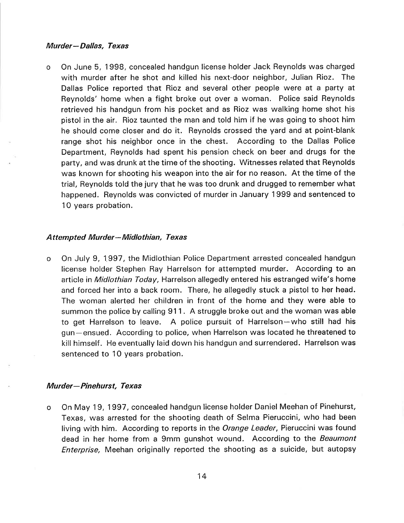#### Murder-Dallas, Texas

o On June 5, 1998, concealed handgun license holder Jack Reynolds was charged with murder after he shot and killed his next-door neighbor, Julian Rioz. The Dallas Police reported that Rioz and several other people were at a party at Reynolds' home when a fight broke out over a woman. Police said Reynolds retrieved his handgun from his pocket and as Rioz was walking home shot his pistol in the air. Rioz taunted the man and told him if he was going to shoot him he should come closer and do it. Reynolds crossed the yard and at point-blank range shot his neighbor once in the chest. According to the Dallas Police Department, Reynolds had spent his pension check on beer and drugs for the party, and was drunk at the time of the shooting. Witnesses related that Reynolds was known for shooting his weapon into the air for no reason. At the time of the trial, Reynolds told the jury that he was too drunk and drugged to remember what happened. Reynolds was convicted of murder in January 1999 and sentenced to 10 years probation.

#### Attempted Murder- Midlothian, Texas

On July 9, 1997, the Midlothian Police Department arrested concealed handgun license holder Stephen Ray Harrelson for attempted murder. According to an article in Midlothian Today, Harrelson allegedly entered his estranged wife's home and forced her into a back room. There, he allegedly stuck a pistol to her head. The woman alerted her children in front of the home and they were able to summon the police by calling 911. A struggle broke out and the woman was able to get Harrelson to leave. A police pursuit of Harrelson-who still had his gun-ensued. According to police, when Harrelson was located he threatened to kill himself. He eventually laid down his handgun and surrendered. Harrelson was sentenced to 1O years probation. o

# Murder—Pinehurst, Texa<mark>s</mark>

On May 19,1997, concealed handgun license holder Daniel Meehan of Pinehurst, Texas, was arrested for the shooting death of Selma Pieruccini, who had been living with him. According to reports in the Orange Leader, Pieruccini was found dead in her home from a 9mm gunshot wound. According to the Beaumont Enterprise, Meehan originally reported the shooting as a suicide, but autopsy o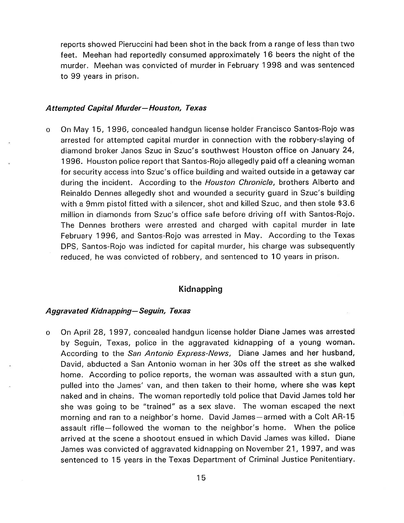reports showed Pieruccini had been shot in the back from a range of less than two feet. Meehan had reportedly consumed approximately 16 beers the night of the murder, Meehan was convicted of murder in February 1998 and was sentenced to 99 years in prison.

#### Attempted Capital Murder- Houston, Texas

o On May 15, 1996, concealed handgun license holder Francisco Santos-Rojo was arrested for attempted capital murder in connection with the robbery-slaying of diamond broker Janos Szuc in Szuc's southwest Houston office on January 24, <sup>1</sup>996. Houston police report that Santos-Rojo allegedly paid off a cleaning woman for security access into Szuc's office building and waited outside in a getaway car during the incident. According to the Houston Chronicle, brothers Alberto and Reinaldo Dennes allegedly shot and wounded a security guard in Szuc's building with a 9mm pistol fitted with a silencer, shot and killed Szuc, and then stole \$3.6 million in diamonds from Szuc's office safe before driving off with Santos-Rojo. The Dennes brothers were arrested and charged with capital murder in late February 1996, and Santos-Rojo was arrested in May. According to the Texas DPS, Santos-Rojo was indicted for capital murder, his charge was subsequently reduced, he was convicted of robbery, and sentenced to 1O years in prison.

#### Kidnapping

#### Aggravated Kidnapping - Seguin, Texas

On April 28, 1997, concealed handgun license holder Diane James was arrested by Seguin, Texas, police in the aggravated kidnapping of a young woman. According to the San Antonio Express-News, Diane James and her husband, David, abducted a San Antonio woman in her 3Os off the street as she walked home, According to police reports, the woman was assaulted with a stun gun, pulled into the James' van, and then taken to their home, where she was kept naked and in chains. The woman reportedly told police that David James told her she was going to be "trained" as a sex slave. The woman escaped the next morning and ran to a neighbor's home. David James-armed with a Colt AR-15 assault rifle-followed the woman to the neighbor's home. When the police arrived at the scene a shootout ensued in which David James was killed. Diane James was convicted of aggravated kidnapping on November 21, 1997, and was sentenced to 15 years in the Texas Department of Criminal Justice Penitentiary. o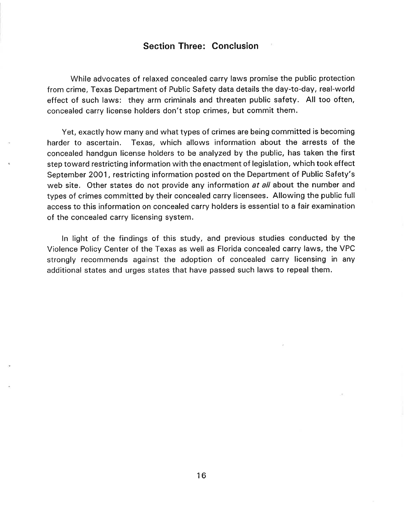#### Section Three: Conclusion

While advocates of relaxed concealed carry laws promise the public protection from crime, Texas Department of Public Safety data details the day-to-day, real-world effect of such laws: they arm criminals and threaten public safety. All too often, concealed carry license holders don't stop crimes, but commit them.

Yet, exactly how many and what types of crimes are being committed is becoming harder to ascertain. Texas, which allows information about the arrests of the concealed handgun license holders to be analyzed by the public, has taken the first step toward restricting information with the enactment of legislation, which took effect September 2OO1, restricting information posted on the Department of Public Safety's web site. Other states do not provide any information at all about the number and types of crimes committed by their concealed carry licensees. Allowing the public full access to this information on concealed carry holders is essential to a fair examination of the concealed carry licensing system.

ln light of the findings of this study, and previous studies conducted by the Violence Policy Center of the Texas as well as Florida concealed carry laws, the VPC strongly recommends against the adoption of concealed carry licensing in any additional states and urges states that have passed such laws to repeal them.